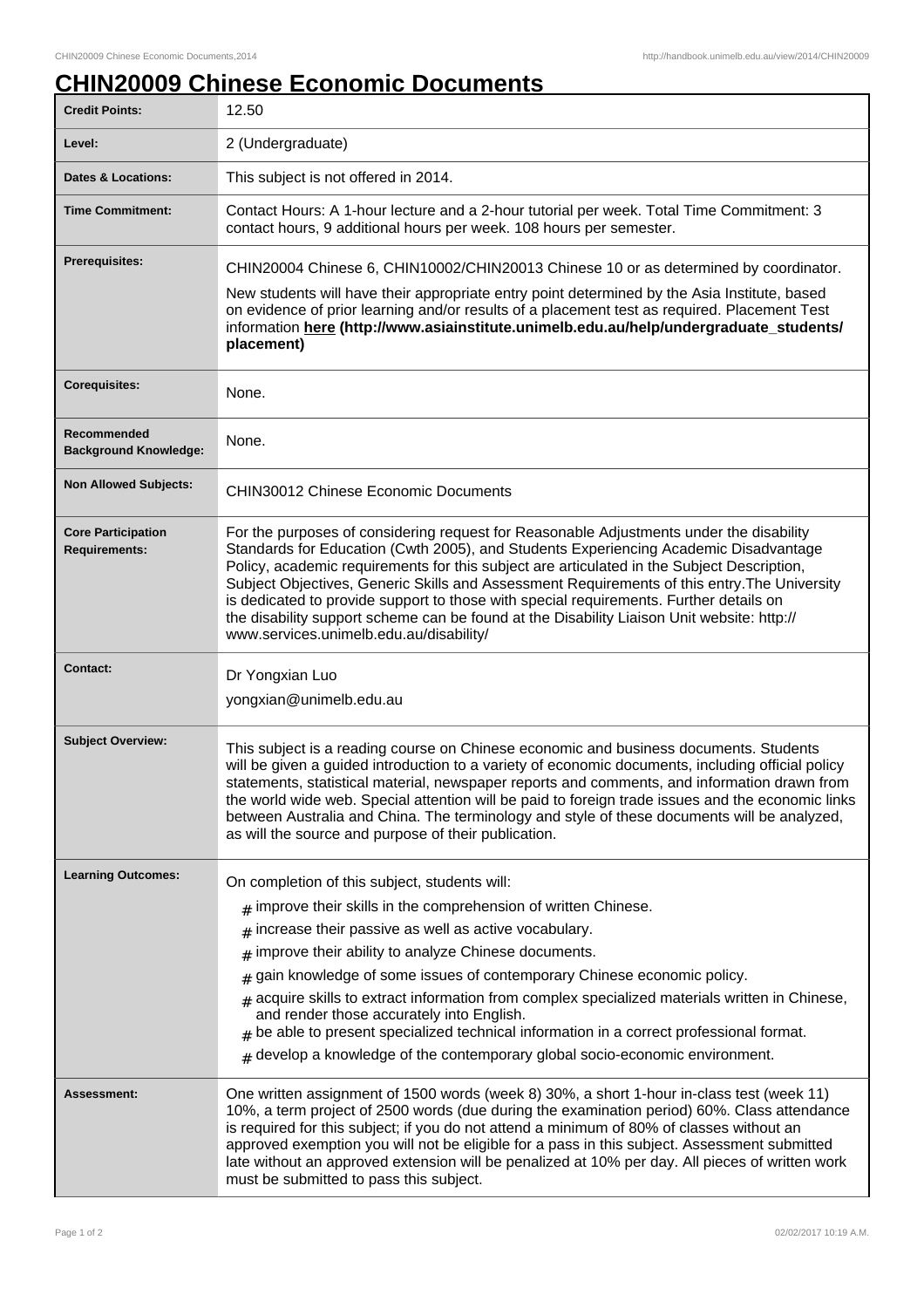## **CHIN20009 Chinese Economic Documents**

| <b>Credit Points:</b>                             | 12.50                                                                                                                                                                                                                                                                                                                                                                                                                                                                                                                                                                                                            |
|---------------------------------------------------|------------------------------------------------------------------------------------------------------------------------------------------------------------------------------------------------------------------------------------------------------------------------------------------------------------------------------------------------------------------------------------------------------------------------------------------------------------------------------------------------------------------------------------------------------------------------------------------------------------------|
| Level:                                            | 2 (Undergraduate)                                                                                                                                                                                                                                                                                                                                                                                                                                                                                                                                                                                                |
| <b>Dates &amp; Locations:</b>                     | This subject is not offered in 2014.                                                                                                                                                                                                                                                                                                                                                                                                                                                                                                                                                                             |
| <b>Time Commitment:</b>                           | Contact Hours: A 1-hour lecture and a 2-hour tutorial per week. Total Time Commitment: 3<br>contact hours, 9 additional hours per week. 108 hours per semester.                                                                                                                                                                                                                                                                                                                                                                                                                                                  |
| <b>Prerequisites:</b>                             | CHIN20004 Chinese 6, CHIN10002/CHIN20013 Chinese 10 or as determined by coordinator.                                                                                                                                                                                                                                                                                                                                                                                                                                                                                                                             |
|                                                   | New students will have their appropriate entry point determined by the Asia Institute, based<br>on evidence of prior learning and/or results of a placement test as required. Placement Test<br>information here (http://www.asiainstitute.unimelb.edu.au/help/undergraduate_students/<br>placement)                                                                                                                                                                                                                                                                                                             |
| <b>Corequisites:</b>                              | None.                                                                                                                                                                                                                                                                                                                                                                                                                                                                                                                                                                                                            |
| Recommended<br><b>Background Knowledge:</b>       | None.                                                                                                                                                                                                                                                                                                                                                                                                                                                                                                                                                                                                            |
| <b>Non Allowed Subjects:</b>                      | <b>CHIN30012 Chinese Economic Documents</b>                                                                                                                                                                                                                                                                                                                                                                                                                                                                                                                                                                      |
| <b>Core Participation</b><br><b>Requirements:</b> | For the purposes of considering request for Reasonable Adjustments under the disability<br>Standards for Education (Cwth 2005), and Students Experiencing Academic Disadvantage<br>Policy, academic requirements for this subject are articulated in the Subject Description,<br>Subject Objectives, Generic Skills and Assessment Requirements of this entry. The University<br>is dedicated to provide support to those with special requirements. Further details on<br>the disability support scheme can be found at the Disability Liaison Unit website: http://<br>www.services.unimelb.edu.au/disability/ |
| <b>Contact:</b>                                   | Dr Yongxian Luo<br>yongxian@unimelb.edu.au                                                                                                                                                                                                                                                                                                                                                                                                                                                                                                                                                                       |
| <b>Subject Overview:</b>                          | This subject is a reading course on Chinese economic and business documents. Students<br>will be given a guided introduction to a variety of economic documents, including official policy<br>statements, statistical material, newspaper reports and comments, and information drawn from<br>the world wide web. Special attention will be paid to foreign trade issues and the economic links<br>between Australia and China. The terminology and style of these documents will be analyzed,<br>as will the source and purpose of their publication.                                                           |
| <b>Learning Outcomes:</b>                         | On completion of this subject, students will:                                                                                                                                                                                                                                                                                                                                                                                                                                                                                                                                                                    |
|                                                   | $#$ improve their skills in the comprehension of written Chinese.<br>increase their passive as well as active vocabulary.                                                                                                                                                                                                                                                                                                                                                                                                                                                                                        |
|                                                   | #<br>improve their ability to analyze Chinese documents.<br>#                                                                                                                                                                                                                                                                                                                                                                                                                                                                                                                                                    |
|                                                   | gain knowledge of some issues of contemporary Chinese economic policy.<br>#                                                                                                                                                                                                                                                                                                                                                                                                                                                                                                                                      |
|                                                   | acquire skills to extract information from complex specialized materials written in Chinese,<br>#<br>and render those accurately into English.<br>$#$ be able to present specialized technical information in a correct professional format.                                                                                                                                                                                                                                                                                                                                                                     |
|                                                   | $#$ develop a knowledge of the contemporary global socio-economic environment.                                                                                                                                                                                                                                                                                                                                                                                                                                                                                                                                   |
| Assessment:                                       | One written assignment of 1500 words (week 8) 30%, a short 1-hour in-class test (week 11)<br>10%, a term project of 2500 words (due during the examination period) 60%. Class attendance<br>is required for this subject; if you do not attend a minimum of 80% of classes without an<br>approved exemption you will not be eligible for a pass in this subject. Assessment submitted<br>late without an approved extension will be penalized at 10% per day. All pieces of written work<br>must be submitted to pass this subject.                                                                              |